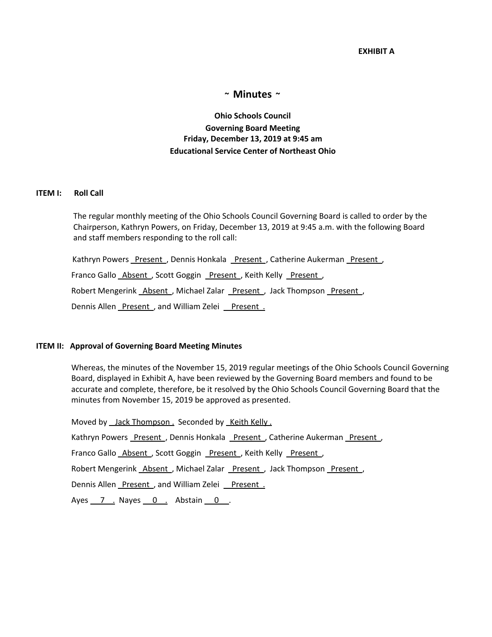### **EXHIBIT A**

# **~ Minutes ~**

**Ohio Schools Council Governing Board Meeting Friday, December 13, 2019 at 9:45 am Educational Service Center of Northeast Ohio**

#### **ITEM I: Roll Call**

The regular monthly meeting of the Ohio Schools Council Governing Board is called to order by the Chairperson, Kathryn Powers, on Friday, December 13, 2019 at 9:45 a.m. with the following Board and staff members responding to the roll call:

Kathryn Powers Present, Dennis Honkala Present, Catherine Aukerman Present, Franco Gallo Absent , Scott Goggin Present , Keith Kelly Present , Robert Mengerink Absent, Michael Zalar Present, Jack Thompson Present,

Dennis Allen Present, and William Zelei Present.

#### **ITEM II: Approval of Governing Board Meeting Minutes**

Whereas, the minutes of the November 15, 2019 regular meetings of the Ohio Schools Council Governing Board, displayed in Exhibit A, have been reviewed by the Governing Board members and found to be accurate and complete, therefore, be it resolved by the Ohio Schools Council Governing Board that the minutes from November 15, 2019 be approved as presented.

Moved by Jack Thompson . Seconded by Keith Kelly .

Kathryn Powers Present , Dennis Honkala Present , Catherine Aukerman Present ,

Franco Gallo Absent, Scott Goggin Present, Keith Kelly Present,

Robert Mengerink Absent, Michael Zalar Present, Jack Thompson Present,

Dennis Allen Present, and William Zelei Present.

Ayes  $7$  . Nayes  $0$  . Abstain  $0$  .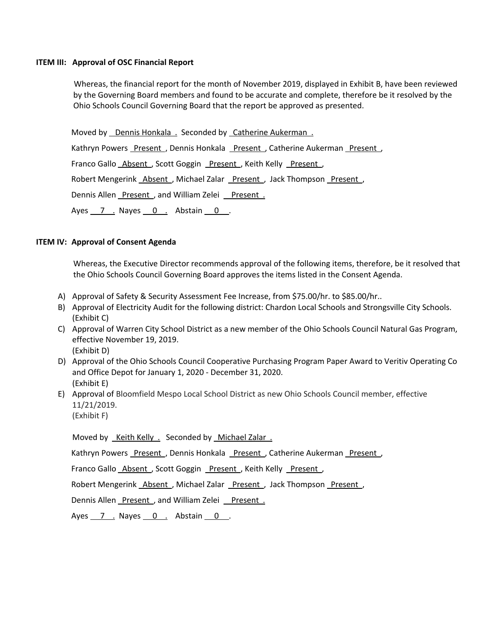### **ITEM III: Approval of OSC Financial Report**

Whereas, the financial report for the month of November 2019, displayed in Exhibit B, have been reviewed by the Governing Board members and found to be accurate and complete, therefore be it resolved by the Ohio Schools Council Governing Board that the report be approved as presented.

Moved by Dennis Honkala . Seconded by Catherine Aukerman.

Kathryn Powers Present , Dennis Honkala Present , Catherine Aukerman Present ,

Franco Gallo Absent, Scott Goggin Present, Keith Kelly Present,

Robert Mengerink Absent, Michael Zalar Present, Jack Thompson Present,

Dennis Allen Present , and William Zelei Present .

Ayes 7 . Nayes 0 . Abstain 0 .

# **ITEM IV: Approval of Consent Agenda**

Whereas, the Executive Director recommends approval of the following items, therefore, be it resolved that the Ohio Schools Council Governing Board approves the items listed in the Consent Agenda.

- A) Approval of Safety & Security Assessment Fee Increase, from \$75.00/hr. to \$85.00/hr..
- B) Approval of Electricity Audit for the following district: Chardon Local Schools and Strongsville City Schools. (Exhibit C)
- C) Approval of Warren City School District as a new member of the Ohio Schools Council Natural Gas Program, effective November 19, 2019. (Exhibit D)
- D) Approval of the Ohio Schools Council Cooperative Purchasing Program Paper Award to Veritiv Operating Co and Office Depot for January 1, 2020 - December 31, 2020. (Exhibit E)
- E) Approval of Bloomfield Mespo Local School District as new Ohio Schools Council member, effective 11/21/2019.

(Exhibit F)

Moved by Keith Kelly . Seconded by Michael Zalar .

Kathryn Powers Present , Dennis Honkala Present , Catherine Aukerman Present ,

Franco Gallo Absent, Scott Goggin Present, Keith Kelly Present,

Robert Mengerink Absent, Michael Zalar Present, Jack Thompson Present,

Dennis Allen Present, and William Zelei Present.

Ayes  $\overline{7}$  . Nayes  $\overline{0}$  . Abstain  $\overline{0}$  .